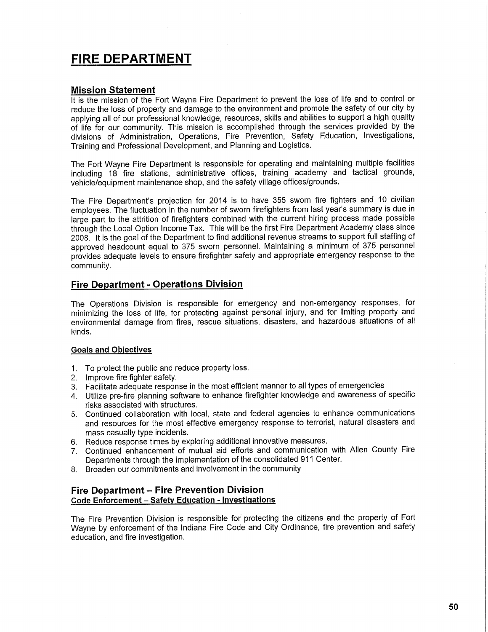# **FIRE DEPARTMENT**

## **Mission Statement**

It is the mission of the Fort Wayne Fire Department to prevent the loss of life and to control or reduce the loss of property and damage to the environment and promote the safety of our city by applying all of our professional knowledge, resources, skills and abilities to support a high quality of life for our community. This mission is accomplished through the services provided by the divisions of Administration, Operations, Fire Prevention, Safety Education, Investigations, Training and Professional Development, and Planning and Logistics.

The Fort Wayne Fire Department is responsible for operating and maintaining multiple facilities including 18 fire stations, administrative offices, training academy and tactical grounds, vehicle/equipment maintenance shop, and the safety village offices/grounds.

The Fire Department's projection for 2014 is to have 355 sworn fire fighters and 10 civilian employees. The fluctuation in the number of sworn firefighters from last year's summary is due in large part to the attrition of firefighters combined with the current hiring process made possible through the Local Option Income Tax. This will be the first Fire Department Academy class since 2008. It is the goal of the Department to find additional revenue streams to support full staffing of approved headcount equal to 375 sworn personnel. Maintaining a minimum of 375 personnel provides adequate levels to ensure firefighter safety and appropriate emergency response to the community.

# **Fire Department - Operations Division**

The Operations Division is responsible for emergency and non-emergency responses, for minimizing the loss of life, for protecting against personal injury, and for limiting property and environmental damage from fires, rescue situations, disasters, and hazardous situations of all kinds.

#### **Goals and Objectives**

- 1. To protect the public and reduce property loss.
- 2. Improve fire fighter safety.
- 3. Facilitate adequate response in the most efficient manner to all types of emergencies
- 4. Utilize pre-fire planning software to enhance firefighter knowledge and awareness of specific risks associated with structures.
- 5. Continued collaboration with local, state and federal agencies to enhance communications and resources for the most effective emergency response to terrorist, natural disasters and mass casualty type incidents.
- 6. Reduce response times by exploring additional innovative measures.
- 7. Continued enhancement of mutual aid efforts and communication with Allen County Fire Departments through the implementation of the consolidated 911 Center.
- 8. Broaden our commitments and involvement in the community

## **Fire Department - Fire Prevention Division Code Enforcement - Safety Education - Investigations**

The Fire Prevention Division is responsible for protecting the citizens and the property of Fort Wayne by enforcement of the Indiana Fire Code and City Ordinance, fire prevention and safety education, and fire investigation.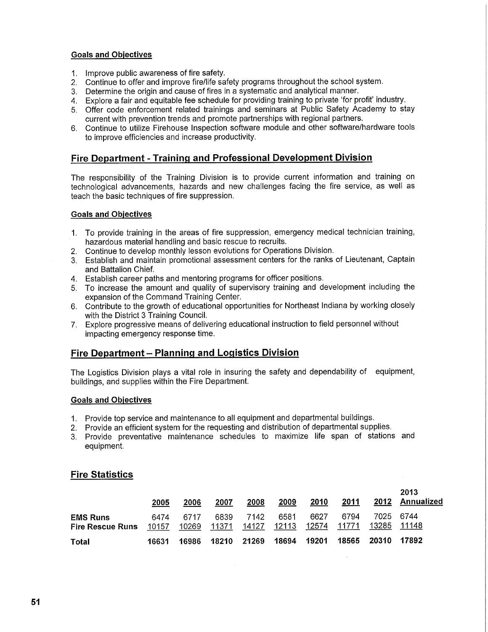#### **Goals and Objectives**

- 1. Improve public awareness of fire safety.
- 2. Continue to offer and improve fire/life safety programs throughout the school system.
- 3. Determine the origin and cause of fires in a systematic and analytical manner.
- 4. Explore a fair and equitable fee schedule for providing training to private 'for profit' industry.
- 5. Offer code enforcement related trainings and seminars at Public Safety Academy to stay current with prevention trends and promote partnerships with regional partners.
- 6. Continue to utilize Firehouse Inspection software module and other software/hardware tools to improve efficiencies and increase productivity.

# **Fire Department - Training and Professional Development Division**

The responsibility of the Training Division is to provide current information and training on technological advancements, hazards and new challenges facing the fire service, as well as teach the basic techniques of fire suppression.

#### **Goals and Objectives**

- 1. To provide training in the areas of fire suppression, emergency medical technician training, hazardous material handling and basic rescue to recruits.
- 2. Continue to develop monthly lesson evolutions for Operations Division.
- 3. Establish and maintain promotional assessment centers for the ranks of Lieutenant, Captain and Battalion Chief.
- 4. Establish career paths and mentoring programs for officer positions.
- 5. To increase the amount and quality of supervisory training and development including the expansion of the Command Training Center.
- 6. Contribute to the growth of educational opportunities for Northeast Indiana by working closely with the District 3 Training Council.
- 7. Explore progressive means of delivering educational instruction to field personnel without impacting emergency response time.

# **Fire Department - Planning and Logistics Division**

The Logistics Division plays a vital role in insuring the safety and dependability of equipment, buildings, and supplies within the Fire Department.

#### **Goals and Objectives**

- 1. Provide top service and maintenance to all equipment and departmental buildings.
- 2. Provide an efficient system for the requesting and distribution of departmental supplies.
- 3. Provide preventative maintenance schedules to maximize life span of stations and equipment.

# **Fire Statistics**

|                                            | 2005          | 2006          | 2007          | 2008          | 2009          | 2010          | 2011          | 2012           | 2013<br>Annualized |
|--------------------------------------------|---------------|---------------|---------------|---------------|---------------|---------------|---------------|----------------|--------------------|
| <b>EMS Runs</b><br><b>Fire Rescue Runs</b> | 6474<br>10157 | 6717<br>10269 | 6839<br>11371 | 7142<br>14127 | 6581<br>12113 | 6627<br>12574 | 6794<br>11771 | 7025.<br>13285 | 6744<br>11148      |
| Total                                      | 16631         | 16986         | 18210         | 21269         | 18694         | 19201         | 18565         | 20310          | 17892              |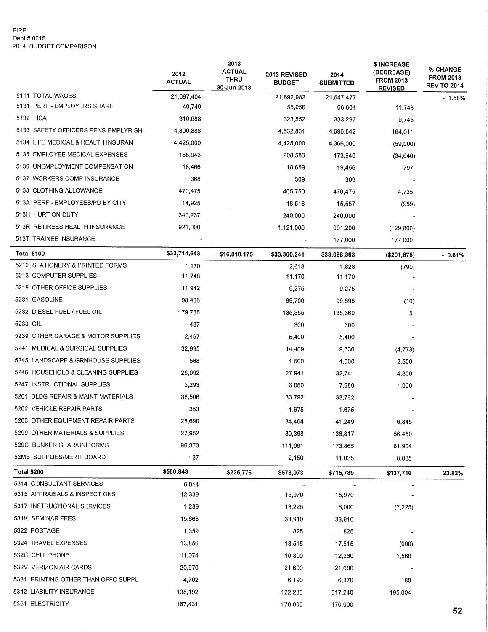#### FIRE Dept #0015 2014 BUDGET COMPARISON

|                                     | 2012<br><b>ACTUAL</b> | 2013<br><b>ACTUAL</b><br><b>THRU</b><br>30-Jun-2013 | 2013 REVISED<br><b>BUDGET</b> | 2014<br><b>SUBMITTED</b> | \$ INCREASE<br>(DECREASE)<br><b>FROM 2013</b><br><b>REVISED</b> | % CHANGE<br><b>FROM 2013</b><br><b>REV TO 2014</b> |
|-------------------------------------|-----------------------|-----------------------------------------------------|-------------------------------|--------------------------|-----------------------------------------------------------------|----------------------------------------------------|
| 5111 TOTAL WAGES                    | 21,697,404            |                                                     | 21,892,982                    | 21,547,477               |                                                                 | $-1.58%$                                           |
| 5131 PERF - EMPLOYERS SHARE         | 49,749                |                                                     | 55,056                        | 66,804                   | 11,748                                                          |                                                    |
| 5132 FICA                           | 310,688               |                                                     | 323,552                       | 333,297                  | 9,745                                                           |                                                    |
| 5133 SAFETY OFFICERS PENS-EMPLYR SH | 4,300,388             |                                                     | 4,532,831                     | 4,696,842                | 164,011                                                         |                                                    |
| 5134 LIFE MEDICAL & HEALTH INSURAN  | 4,425,000             |                                                     | 4,425,000                     | 4,366,000                | (59,000)                                                        |                                                    |
| 5135 EMPLOYEE MEDICAL EXPENSES      | 165,943               |                                                     | 208,586                       | 173,946                  | (34.640)                                                        |                                                    |
| 5136 UNEMPLOYMENT COMPENSATION      | 18,466                |                                                     | 18,659                        | 19456                    | 797                                                             |                                                    |
| 5137 WORKERS COMP INSURANCE         | 368                   |                                                     | 309                           | 309                      |                                                                 |                                                    |
| 5138 CLOTHING ALLOWANCE             | 470,475               |                                                     | 465,750                       | 470,475                  | 4,725                                                           |                                                    |
| 513A PERF - EMPLOYEES/PD BY CITY    | 14,925                |                                                     | 16,516                        | 15,557                   | (959)                                                           |                                                    |
| 513H HURT ON DUTY                   | 340,237               |                                                     | 240,000                       | 240,000                  |                                                                 |                                                    |
| 513R RETIREES HEALTH INSURANCE      | 921,000               |                                                     | 1,121,000                     | 991,200                  | (129, 800)                                                      |                                                    |
| 513T TRAINEE INSURANCE              |                       |                                                     |                               | 177,000                  | 177,000                                                         |                                                    |
| <b>Total 5100</b>                   | \$32,714,643          | \$16,818,175                                        | \$33,300,241                  | \$33,098,363             | (\$201, 878)                                                    | $-0.61%$                                           |
| 5212 STATIONERY & PRINTED FORMS     | 1,170                 |                                                     | 2,618                         | 1,828                    | (790)                                                           |                                                    |
| 5213 COMPUTER SUPPLIES              | 11,748                |                                                     | 11,170                        | 11,170                   |                                                                 |                                                    |
| 5219 OTHER OFFICE SUPPLIES          | 11,942                |                                                     | 9,275                         | 9,275                    |                                                                 |                                                    |
| 5231 GASOLINE                       | 98,436                |                                                     | 99,706                        | 99,696                   | (10)                                                            |                                                    |
| 5232 DIESEL FUEL / FUEL OIL         | 179,785               |                                                     | 135,355                       | 135,360                  | 5                                                               |                                                    |
| 5233 OIL                            | 437                   |                                                     | 300                           | 300                      |                                                                 |                                                    |
| 5239 OTHER GARAGE & MOTOR SUPPLIES  | 2,467                 |                                                     | 5,400                         | 5,400                    |                                                                 |                                                    |
| 5241 MEDICAL & SURGICAL SUPPLIES    | 32,995                |                                                     | 14,409                        | 9,636                    | (4, 773)                                                        |                                                    |
| 5245 LANDSCAPE & GRNHOUSE SUPPLIES  | 568                   |                                                     | 1,500                         | 4,000                    | 2,500                                                           |                                                    |
| 5246 HOUSEHOLD & CLEANING SUPPLIES  | 26,092                |                                                     | 27,941                        | 32,741                   | 4,800                                                           |                                                    |
| 5247 INSTRUCTIONAL SUPPLIES         | 3,293                 |                                                     | 6,050                         | 7,950                    | 1,900                                                           |                                                    |
| 5261 BLDG REPAIR & MAINT MATERIALS  | 38,506                |                                                     | 33,792                        | 33,792                   |                                                                 |                                                    |
| 5262 VEHICLE REPAIR PARTS           | 253                   |                                                     | 1,675                         | 1,675                    |                                                                 |                                                    |
| 5263 OTHER EQUIPMENT REPAIR PARTS   | 28,690                |                                                     | 34,404                        | 41,249                   | 6,845                                                           |                                                    |
| 5299 OTHER MATERIALS & SUPPLIES     | 27,952                |                                                     | 80,368                        | 136,817                  | 56,450                                                          |                                                    |
| 529C BUNKER GEAR/UNIFORMS           | 96,373                |                                                     | 111,961                       | 173,865                  | 61,904                                                          |                                                    |
| 52MB SUPPLIES/MERIT BOARD           | 137                   |                                                     | 2,150                         | 11,035                   | 8,885                                                           |                                                    |
| <b>Total 5200</b>                   | \$560,843             | \$225,776                                           | \$578,073                     | \$715,789                | \$137,716                                                       | 23.82%                                             |
| 5314 CONSULTANT SERVICES            | 6,914                 |                                                     |                               | $\overline{\phantom{a}}$ |                                                                 |                                                    |
| 5315 APPRAISALS & INSPECTIONS       | 12,339                |                                                     | 15,970                        | 15,970                   |                                                                 |                                                    |
| 5317 INSTRUCTIONAL SERVICES         | 1,289                 |                                                     | 13,225                        | 6,000                    | (7, 225)                                                        |                                                    |
| 531K SEMINAR FEES                   | 15,668                |                                                     | 33,910                        | 33,910                   |                                                                 |                                                    |
| 5322 POSTAGE                        | 1,359                 |                                                     | 825                           | 825                      |                                                                 |                                                    |
| 5324 TRAVEL EXPENSES                | 13,856                |                                                     | 18,515                        | 17,615                   | (900)                                                           |                                                    |
| 532C CELL PHONE                     | 11,074                |                                                     | 10,800                        | 12,360                   | 1,560                                                           |                                                    |
| 532V VERIZON AIR CARDS              | 20,970                |                                                     | 21,600                        | 21,600                   |                                                                 |                                                    |
| 5331 PRINTING OTHER THAN OFFC SUPPL | 4,702                 |                                                     | 6,190                         | 6,370                    | 180                                                             |                                                    |
| 5342 LIABILITY INSURANCE            | 138,192               |                                                     | 122,236                       | 317,240                  | 195,004                                                         |                                                    |
| 5351 ELECTRICITY                    | 167,431               |                                                     | 170,000                       | 170,000                  |                                                                 | 52                                                 |